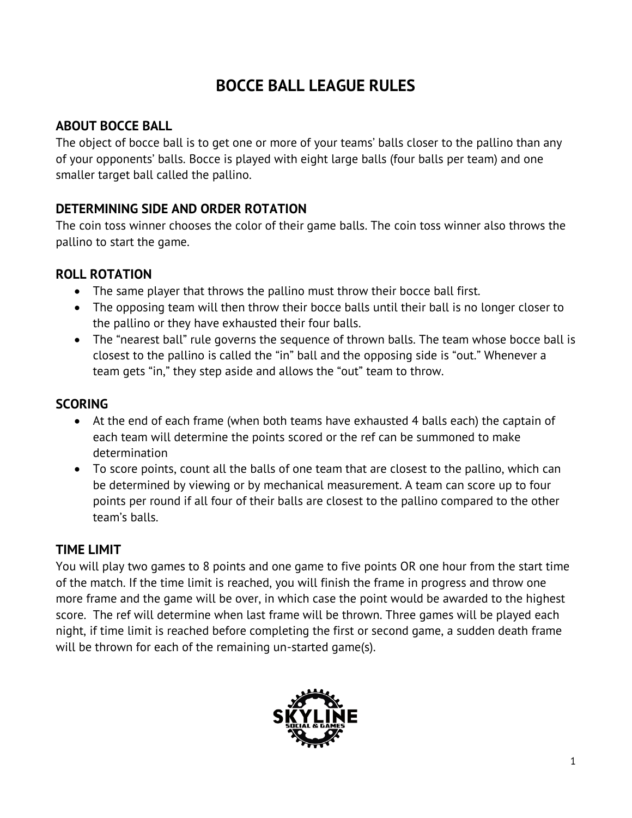# **BOCCE BALL LEAGUE RULES**

#### **ABOUT BOCCE BALL**

The object of bocce ball is to get one or more of your teams' balls closer to the pallino than any of your opponents' balls. Bocce is played with eight large balls (four balls per team) and one smaller target ball called the pallino.

# **DETERMINING SIDE AND ORDER ROTATION**

The coin toss winner chooses the color of their game balls. The coin toss winner also throws the pallino to start the game.

## **ROLL ROTATION**

- The same player that throws the pallino must throw their bocce ball first.
- The opposing team will then throw their bocce balls until their ball is no longer closer to the pallino or they have exhausted their four balls.
- The "nearest ball" rule governs the sequence of thrown balls. The team whose bocce ball is closest to the pallino is called the "in" ball and the opposing side is "out." Whenever a team gets "in," they step aside and allows the "out" team to throw.

## **SCORING**

- At the end of each frame (when both teams have exhausted 4 balls each) the captain of each team will determine the points scored or the ref can be summoned to make determination
- To score points, count all the balls of one team that are closest to the pallino, which can be determined by viewing or by mechanical measurement. A team can score up to four points per round if all four of their balls are closest to the pallino compared to the other team's balls.

#### **TIME LIMIT**

You will play two games to 8 points and one game to five points OR one hour from the start time of the match. If the time limit is reached, you will finish the frame in progress and throw one more frame and the game will be over, in which case the point would be awarded to the highest score. The ref will determine when last frame will be thrown. Three games will be played each night, if time limit is reached before completing the first or second game, a sudden death frame will be thrown for each of the remaining un-started game(s).

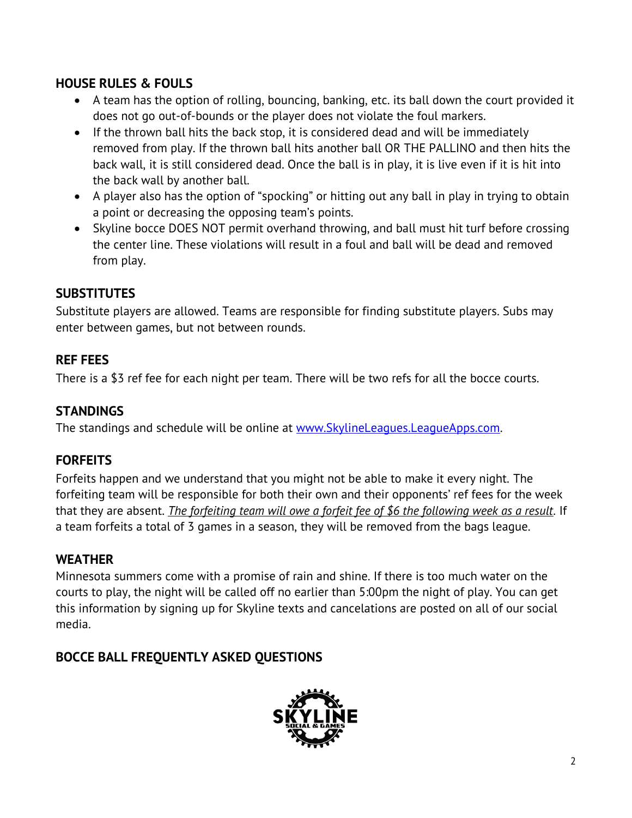# **HOUSE RULES & FOULS**

- A team has the option of rolling, bouncing, banking, etc. its ball down the court provided it does not go out-of-bounds or the player does not violate the foul markers.
- If the thrown ball hits the back stop, it is considered dead and will be immediately removed from play. If the thrown ball hits another ball OR THE PALLINO and then hits the back wall, it is still considered dead. Once the ball is in play, it is live even if it is hit into the back wall by another ball.
- A player also has the option of "spocking" or hitting out any ball in play in trying to obtain a point or decreasing the opposing team's points.
- Skyline bocce DOES NOT permit overhand throwing, and ball must hit turf before crossing the center line. These violations will result in a foul and ball will be dead and removed from play.

#### **SUBSTITUTES**

Substitute players are allowed. Teams are responsible for finding substitute players. Subs may enter between games, but not between rounds.

#### **REF FEES**

There is a \$3 ref fee for each night per team. There will be two refs for all the bocce courts.

#### **STANDINGS**

The standings and schedule will be online at [www.SkylineLeagues.LeagueApps.com.](http://www.skylineleagues.leagueapps.com/)

#### **FORFEITS**

Forfeits happen and we understand that you might not be able to make it every night. The forfeiting team will be responsible for both their own and their opponents' ref fees for the week that they are absent. *The forfeiting team will owe a forfeit fee of \$6 the following week as a result.* If a team forfeits a total of 3 games in a season, they will be removed from the bags league.

#### **WEATHER**

Minnesota summers come with a promise of rain and shine. If there is too much water on the courts to play, the night will be called off no earlier than 5:00pm the night of play. You can get this information by signing up for Skyline texts and cancelations are posted on all of our social media.

#### **BOCCE BALL FREQUENTLY ASKED QUESTIONS**

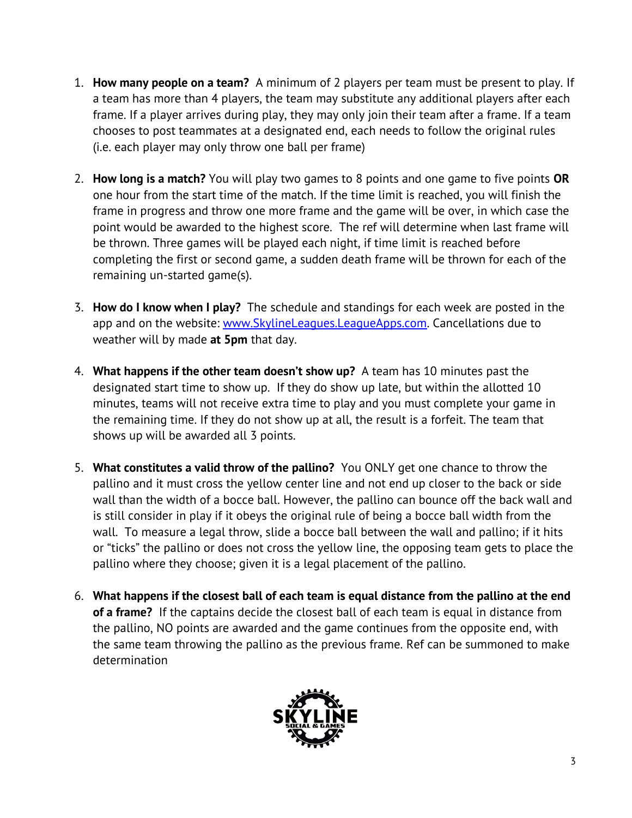- 1. **How many people on a team?** A minimum of 2 players per team must be present to play. If a team has more than 4 players, the team may substitute any additional players after each frame. If a player arrives during play, they may only join their team after a frame. If a team chooses to post teammates at a designated end, each needs to follow the original rules (i.e. each player may only throw one ball per frame)
- 2. **How long is a match?** You will play two games to 8 points and one game to five points **OR** one hour from the start time of the match. If the time limit is reached, you will finish the frame in progress and throw one more frame and the game will be over, in which case the point would be awarded to the highest score. The ref will determine when last frame will be thrown. Three games will be played each night, if time limit is reached before completing the first or second game, a sudden death frame will be thrown for each of the remaining un-started game(s).
- 3. **How do I know when I play?** The schedule and standings for each week are posted in the app and on the website: [www.SkylineLeagues.LeagueApps.com.](http://www.skylineleagues.leagueapps.com/) Cancellations due to weather will by made **at 5pm** that day.
- 4. **What happens if the other team doesn't show up?** A team has 10 minutes past the designated start time to show up. If they do show up late, but within the allotted 10 minutes, teams will not receive extra time to play and you must complete your game in the remaining time. If they do not show up at all, the result is a forfeit. The team that shows up will be awarded all 3 points.
- 5. **What constitutes a valid throw of the pallino?** You ONLY get one chance to throw the pallino and it must cross the yellow center line and not end up closer to the back or side wall than the width of a bocce ball. However, the pallino can bounce off the back wall and is still consider in play if it obeys the original rule of being a bocce ball width from the wall. To measure a legal throw, slide a bocce ball between the wall and pallino; if it hits or "ticks" the pallino or does not cross the yellow line, the opposing team gets to place the pallino where they choose; given it is a legal placement of the pallino.
- 6. **What happens if the closest ball of each team is equal distance from the pallino at the end of a frame?** If the captains decide the closest ball of each team is equal in distance from the pallino, NO points are awarded and the game continues from the opposite end, with the same team throwing the pallino as the previous frame. Ref can be summoned to make determination